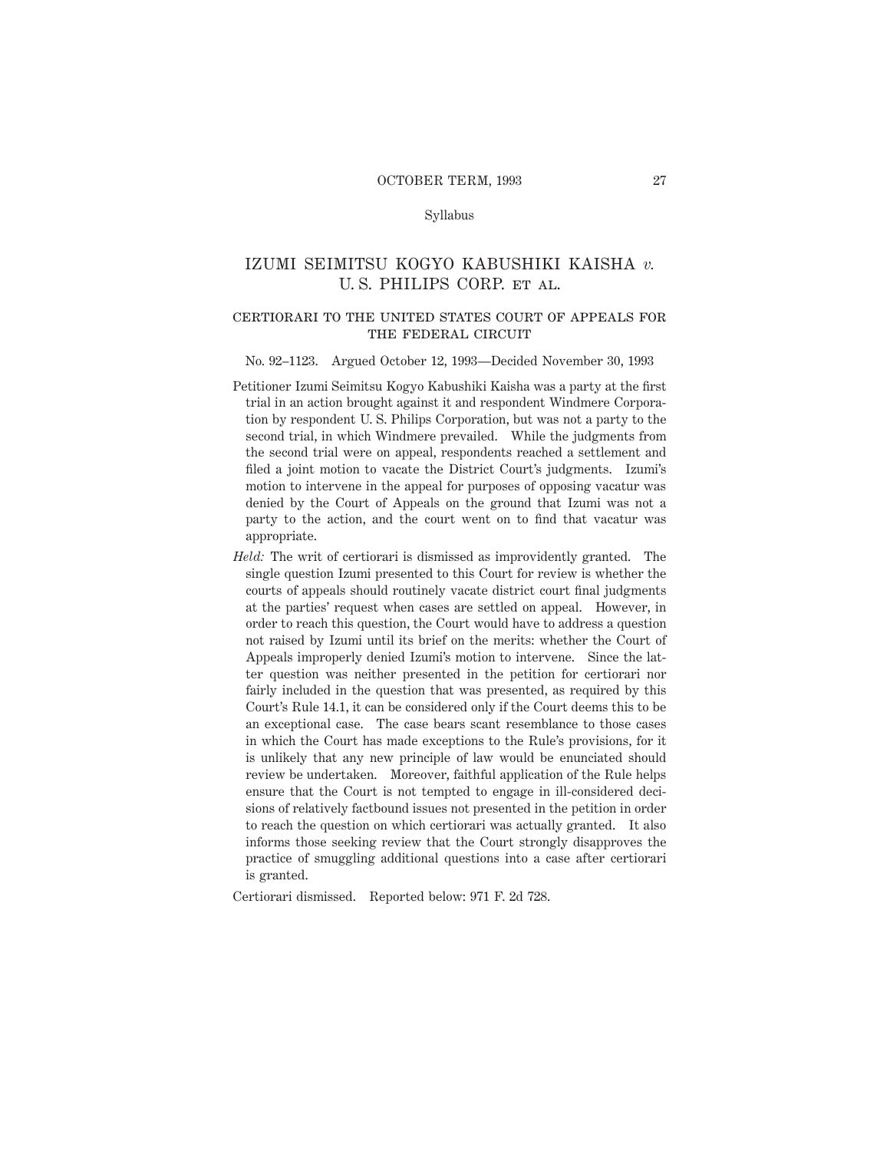# Syllabus

# IZUMI SEIMITSU KOGYO KABUSHIKI KAISHA *v.* U. S. PHILIPS CORP. et al.

### certiorari to the united states court of appeals forTHE FEDERAL CIRCUIT

#### No. 92–1123. Argued October 12, 1993—Decided November 30, 1993

- Petitioner Izumi Seimitsu Kogyo Kabushiki Kaisha was a party at the first trial in an action brought against it and respondent Windmere Corporation by respondent U. S. Philips Corporation, but was not a party to the second trial, in which Windmere prevailed. While the judgments from the second trial were on appeal, respondents reached a settlement and filed a joint motion to vacate the District Court's judgments. Izumi's motion to intervene in the appeal for purposes of opposing vacatur was denied by the Court of Appeals on the ground that Izumi was not a party to the action, and the court went on to find that vacatur was appropriate.
- *Held:* The writ of certiorari is dismissed as improvidently granted. The single question Izumi presented to this Court for review is whether the courts of appeals should routinely vacate district court final judgments at the parties' request when cases are settled on appeal. However, in order to reach this question, the Court would have to address a question not raised by Izumi until its brief on the merits: whether the Court of Appeals improperly denied Izumi's motion to intervene. Since the latter question was neither presented in the petition for certiorari nor fairly included in the question that was presented, as required by this Court's Rule 14.1, it can be considered only if the Court deems this to be an exceptional case. The case bears scant resemblance to those cases in which the Court has made exceptions to the Rule's provisions, for it is unlikely that any new principle of law would be enunciated should review be undertaken. Moreover, faithful application of the Rule helps ensure that the Court is not tempted to engage in ill-considered decisions of relatively factbound issues not presented in the petition in order to reach the question on which certiorari was actually granted. It also informs those seeking review that the Court strongly disapproves the practice of smuggling additional questions into a case after certiorari is granted.

Certiorari dismissed. Reported below: 971 F. 2d 728.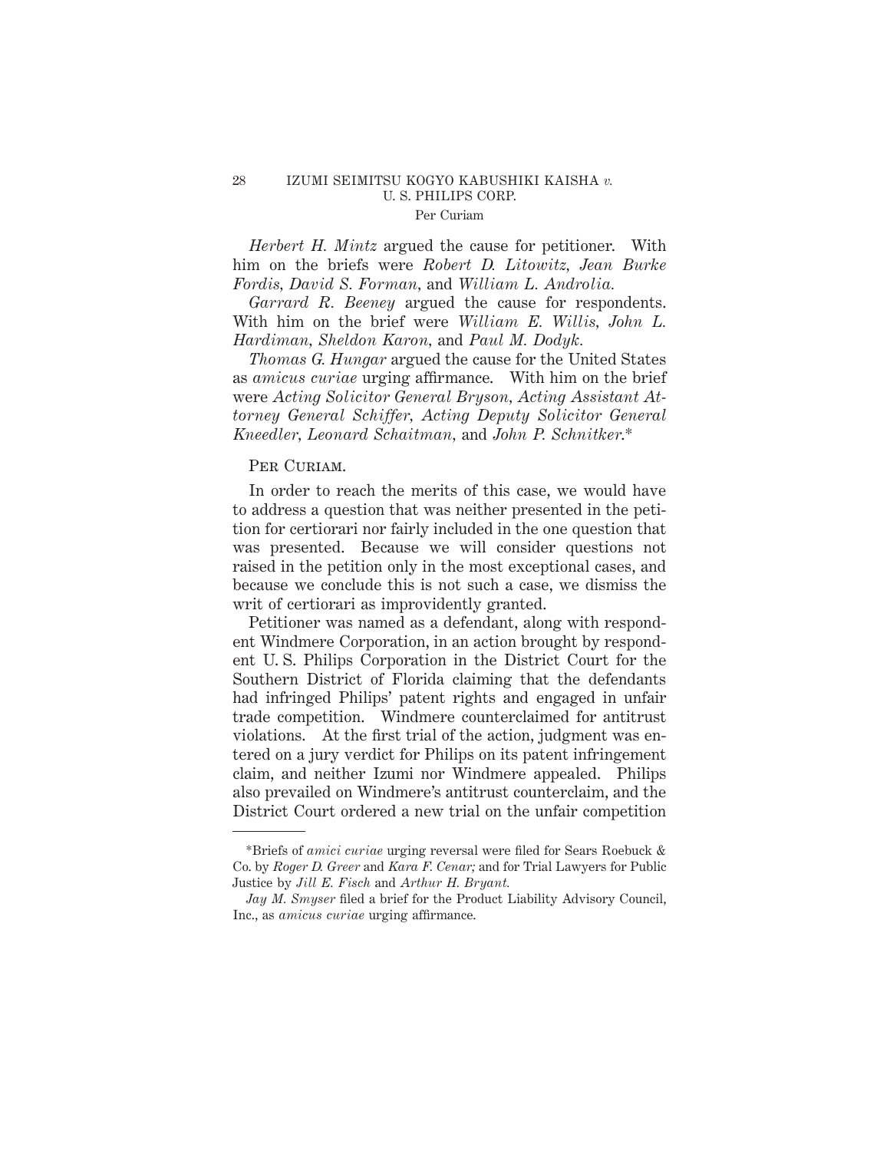### 28 IZUMI SEIMITSU KOGYO KABUSHIKI KAISHA *v.* U. S. PHILIPS CORP. Per Curiam

*Herbert H. Mintz* argued the cause for petitioner. With him on the briefs were *Robert D. Litowitz, Jean Burke Fordis, David S. Forman,* and *William L. Androlia.*

*Garrard R. Beeney* argued the cause for respondents. With him on the brief were *William E. Willis, John L. Hardiman, Sheldon Karon,* and *Paul M. Dodyk.*

*Thomas G. Hungar* argued the cause for the United States as *amicus curiae* urging affirmance. With him on the brief were *Acting Solicitor General Bryson, Acting Assistant Attorney General Schiffer, Acting Deputy Solicitor General Kneedler, Leonard Schaitman,* and *John P. Schnitker*.\*

# PER CURIAM.

In order to reach the merits of this case, we would have to address a question that was neither presented in the petition for certiorari nor fairly included in the one question that was presented. Because we will consider questions not raised in the petition only in the most exceptional cases, and because we conclude this is not such a case, we dismiss the writ of certiorari as improvidently granted.

Petitioner was named as a defendant, along with respondent Windmere Corporation, in an action brought by respondent U. S. Philips Corporation in the District Court for the Southern District of Florida claiming that the defendants had infringed Philips' patent rights and engaged in unfair trade competition. Windmere counterclaimed for antitrust violations. At the first trial of the action, judgment was entered on a jury verdict for Philips on its patent infringement claim, and neither Izumi nor Windmere appealed. Philips also prevailed on Windmere's antitrust counterclaim, and the District Court ordered a new trial on the unfair competition

<sup>\*</sup>Briefs of *amici curiae* urging reversal were filed for Sears Roebuck & Co. by *Roger D. Greer* and *Kara F. Cenar;* and for Trial Lawyers for Public Justice by *Jill E. Fisch* and *Arthur H. Bryant.*

*Jay M. Smyser* filed a brief for the Product Liability Advisory Council, Inc., as *amicus curiae* urging affirmance.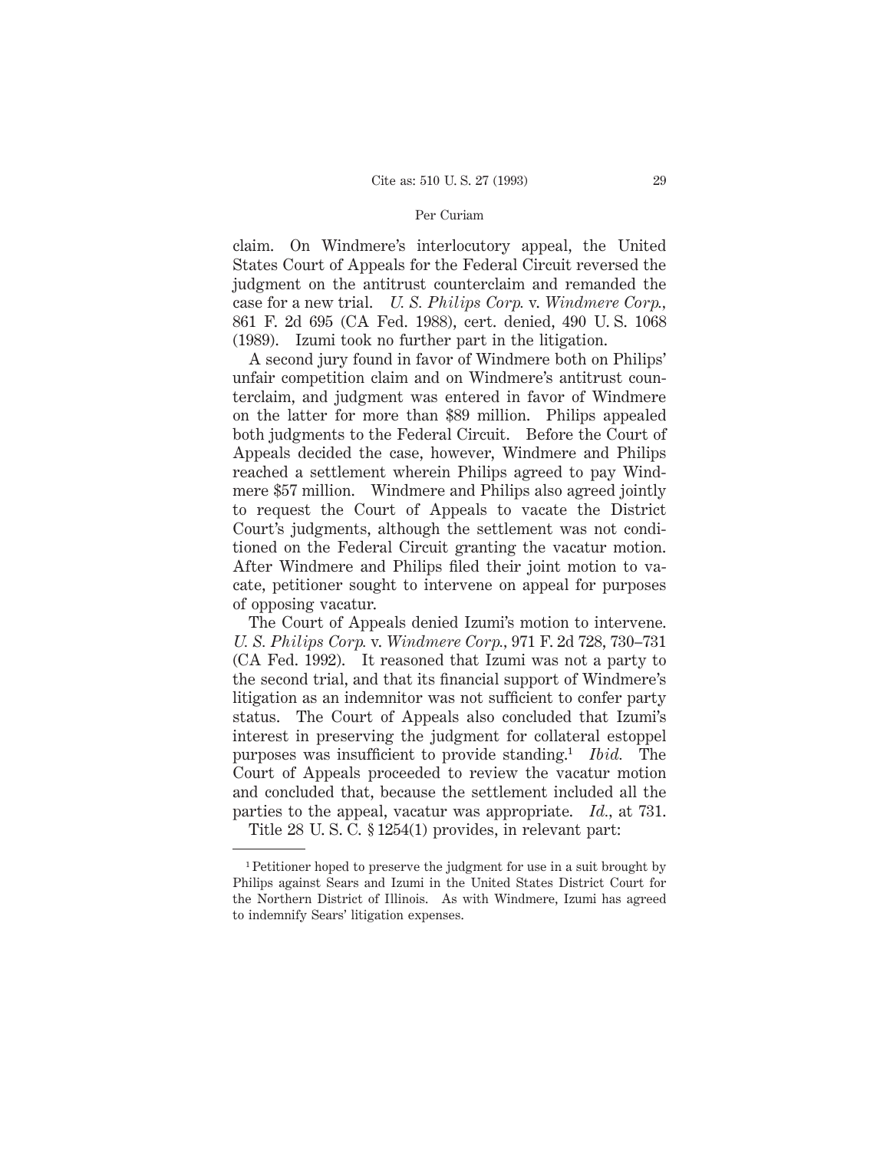#### Per Curiam

claim. On Windmere's interlocutory appeal, the United States Court of Appeals for the Federal Circuit reversed the judgment on the antitrust counterclaim and remanded the case for a new trial. *U. S. Philips Corp.* v. *Windmere Corp.,* 861 F. 2d 695 (CA Fed. 1988), cert. denied, 490 U. S. 1068 (1989). Izumi took no further part in the litigation.

A second jury found in favor of Windmere both on Philips' unfair competition claim and on Windmere's antitrust counterclaim, and judgment was entered in favor of Windmere on the latter for more than \$89 million. Philips appealed both judgments to the Federal Circuit. Before the Court of Appeals decided the case, however, Windmere and Philips reached a settlement wherein Philips agreed to pay Windmere \$57 million. Windmere and Philips also agreed jointly to request the Court of Appeals to vacate the District Court's judgments, although the settlement was not conditioned on the Federal Circuit granting the vacatur motion. After Windmere and Philips filed their joint motion to vacate, petitioner sought to intervene on appeal for purposes of opposing vacatur.

The Court of Appeals denied Izumi's motion to intervene. *U. S. Philips Corp.* v. *Windmere Corp.,* 971 F. 2d 728, 730–731 (CA Fed. 1992). It reasoned that Izumi was not a party to the second trial, and that its financial support of Windmere's litigation as an indemnitor was not sufficient to confer party status. The Court of Appeals also concluded that Izumi's interest in preserving the judgment for collateral estoppel purposes was insufficient to provide standing.1 *Ibid.* The Court of Appeals proceeded to review the vacatur motion and concluded that, because the settlement included all the parties to the appeal, vacatur was appropriate. *Id.,* at 731.

Title 28 U. S. C. § 1254(1) provides, in relevant part:

<sup>1</sup> Petitioner hoped to preserve the judgment for use in a suit brought by Philips against Sears and Izumi in the United States District Court for the Northern District of Illinois. As with Windmere, Izumi has agreed to indemnify Sears' litigation expenses.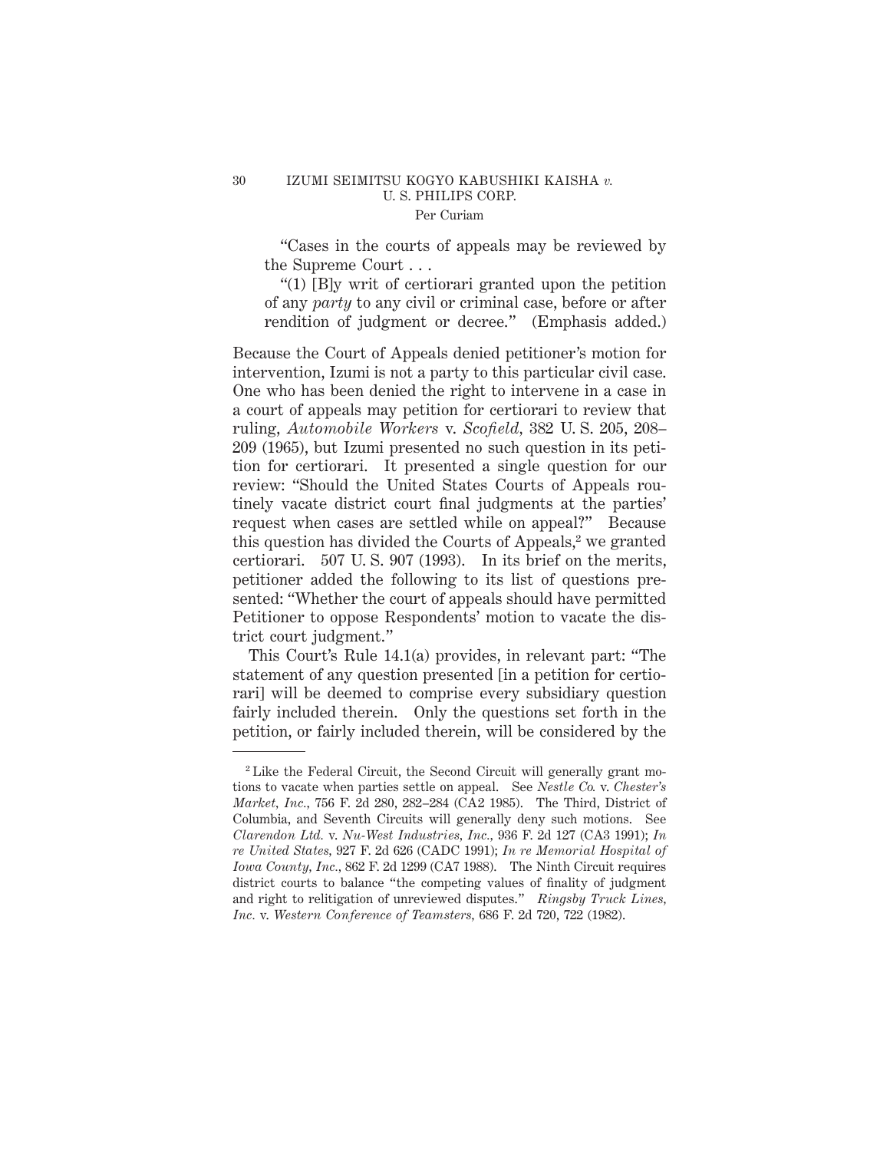### 30 IZUMI SEIMITSU KOGYO KABUSHIKI KAISHA *v.* U. S. PHILIPS CORP. Per Curiam

"Cases in the courts of appeals may be reviewed by the Supreme Court...

"(1) [B]y writ of certiorari granted upon the petition of any *party* to any civil or criminal case, before or after rendition of judgment or decree." (Emphasis added.)

Because the Court of Appeals denied petitioner's motion for intervention, Izumi is not a party to this particular civil case. One who has been denied the right to intervene in a case in a court of appeals may petition for certiorari to review that ruling, *Automobile Workers* v. *Scofield,* 382 U. S. 205, 208– 209 (1965), but Izumi presented no such question in its petition for certiorari. It presented a single question for our review: "Should the United States Courts of Appeals routinely vacate district court final judgments at the parties' request when cases are settled while on appeal?" Because this question has divided the Courts of Appeals, $2$  we granted certiorari. 507 U. S. 907 (1993). In its brief on the merits, petitioner added the following to its list of questions presented: "Whether the court of appeals should have permitted Petitioner to oppose Respondents' motion to vacate the district court judgment."

This Court's Rule 14.1(a) provides, in relevant part: "The statement of any question presented [in a petition for certiorari] will be deemed to comprise every subsidiary question fairly included therein. Only the questions set forth in the petition, or fairly included therein, will be considered by the

<sup>2</sup> Like the Federal Circuit, the Second Circuit will generally grant motions to vacate when parties settle on appeal. See *Nestle Co.* v. *Chester's Market, Inc.,* 756 F. 2d 280, 282–284 (CA2 1985). The Third, District of Columbia, and Seventh Circuits will generally deny such motions. See *Clarendon Ltd.* v. *Nu-West Industries, Inc.,* 936 F. 2d 127 (CA3 1991); *In re United States,* 927 F. 2d 626 (CADC 1991); *In re Memorial Hospital of Iowa County, Inc.,* 862 F. 2d 1299 (CA7 1988). The Ninth Circuit requires district courts to balance "the competing values of finality of judgment and right to relitigation of unreviewed disputes." *Ringsby Truck Lines, Inc.* v. *Western Conference of Teamsters,* 686 F. 2d 720, 722 (1982).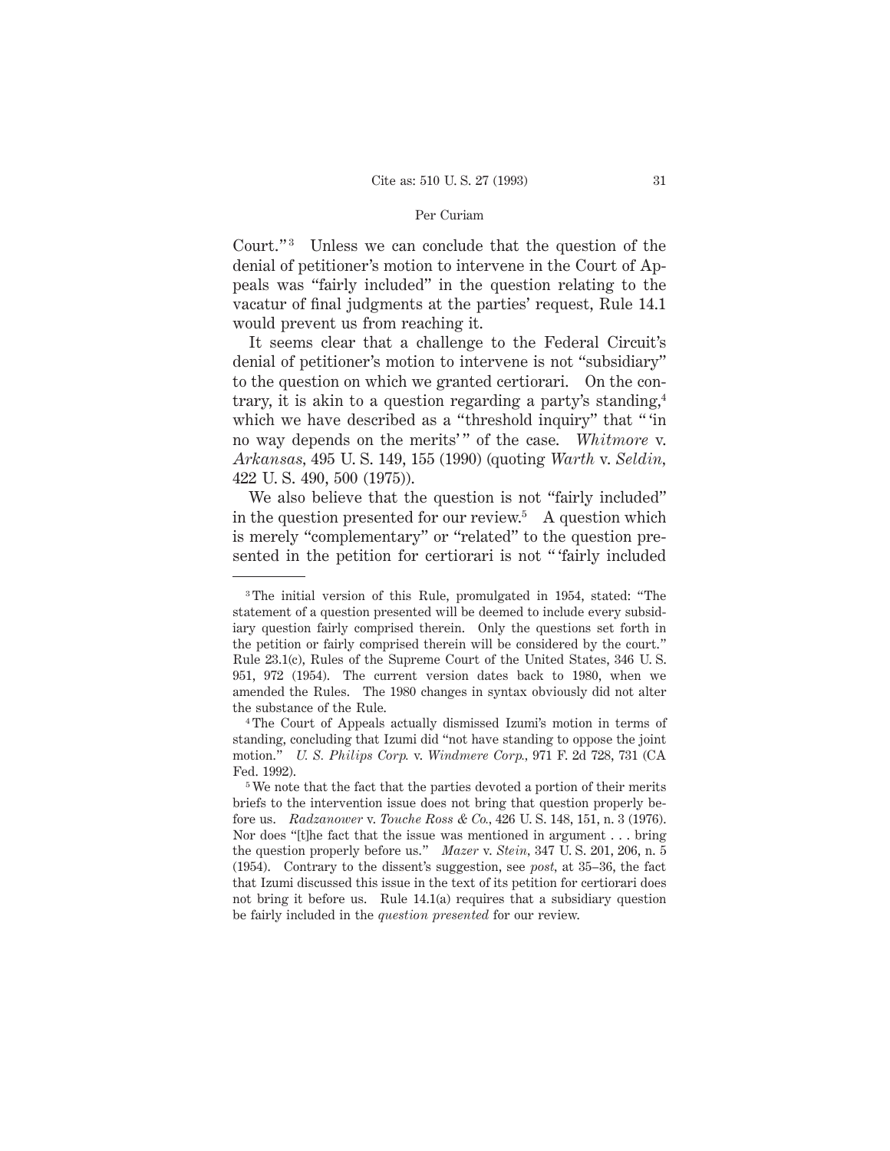### Per Curiam

Court."<sup>3</sup> Unless we can conclude that the question of the denial of petitioner's motion to intervene in the Court of Appeals was "fairly included" in the question relating to the vacatur of final judgments at the parties' request, Rule 14.1 would prevent us from reaching it.

It seems clear that a challenge to the Federal Circuit's denial of petitioner's motion to intervene is not "subsidiary" to the question on which we granted certiorari. On the contrary, it is akin to a question regarding a party's standing,4 which we have described as a "threshold inquiry" that "'in no way depends on the merits'" of the case. Whitmore v. *Arkansas,* 495 U. S. 149, 155 (1990) (quoting *Warth* v. *Seldin,* 422 U. S. 490, 500 (1975)).

We also believe that the question is not "fairly included" in the question presented for our review.<sup>5</sup> A question which is merely "complementary" or "related" to the question presented in the petition for certiorari is not " 'fairly included

<sup>3</sup> The initial version of this Rule, promulgated in 1954, stated: "The statement of a question presented will be deemed to include every subsidiary question fairly comprised therein. Only the questions set forth in the petition or fairly comprised therein will be considered by the court." Rule 23.1(c), Rules of the Supreme Court of the United States, 346 U. S. 951, 972 (1954). The current version dates back to 1980, when we amended the Rules. The 1980 changes in syntax obviously did not alter the substance of the Rule.

<sup>4</sup> The Court of Appeals actually dismissed Izumi's motion in terms of standing, concluding that Izumi did "not have standing to oppose the joint motion." *U. S. Philips Corp.* v. *Windmere Corp.,* 971 F. 2d 728, 731 (CA Fed. 1992).

<sup>&</sup>lt;sup>5</sup>We note that the fact that the parties devoted a portion of their merits briefs to the intervention issue does not bring that question properly before us. *Radzanower* v. *Touche Ross & Co.,* 426 U. S. 148, 151, n. 3 (1976). Nor does "[t]he fact that the issue was mentioned in argument . . . bring the question properly before us." *Mazer* v. *Stein,* 347 U. S. 201, 206, n. 5 (1954). Contrary to the dissent's suggestion, see *post,* at 35–36, the fact that Izumi discussed this issue in the text of its petition for certiorari does not bring it before us. Rule 14.1(a) requires that a subsidiary question be fairly included in the *question presented* for our review.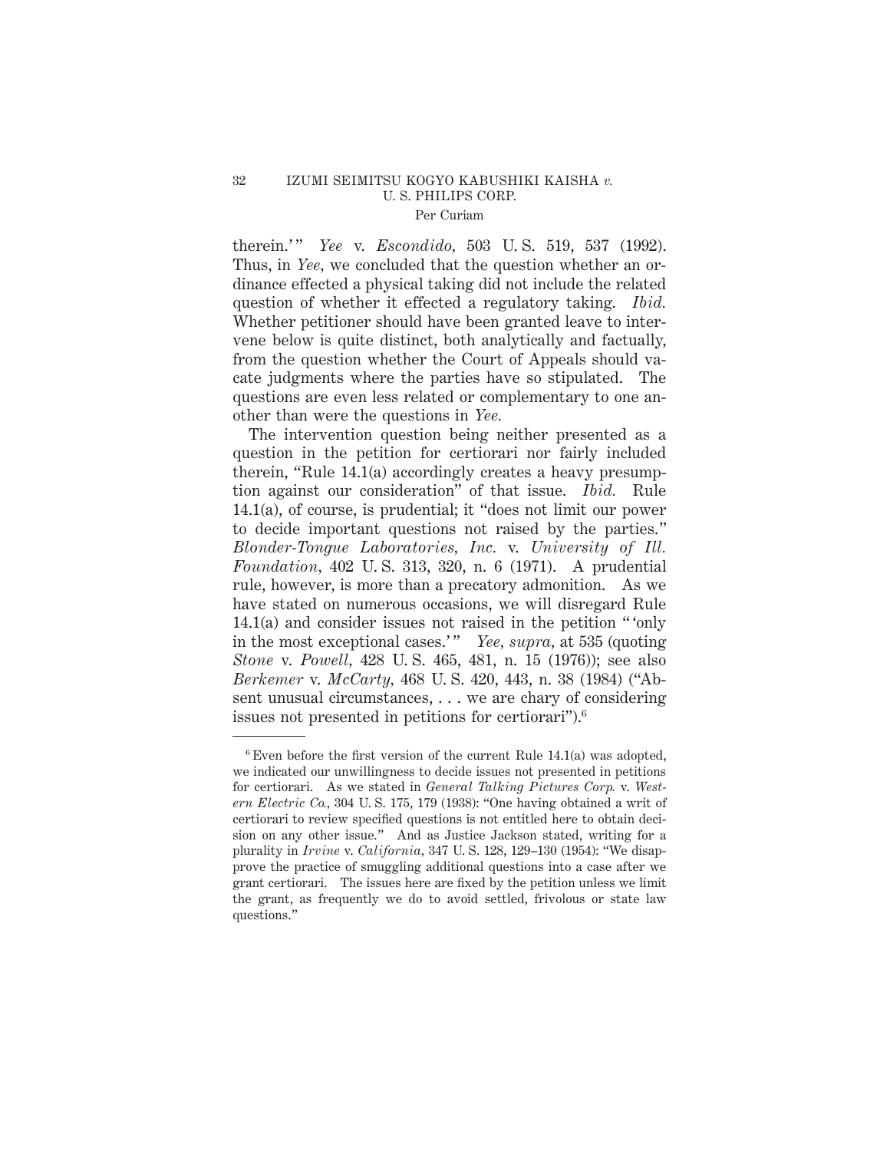### 32 IZUMI SEIMITSU KOGYO KABUSHIKI KAISHA *v.* U. S. PHILIPS CORP. Per Curiam

therein.'" *Yee* v. *Escondido*, 503 U.S. 519, 537 (1992). Thus, in *Yee*, we concluded that the question whether an ordinance effected a physical taking did not include the related question of whether it effected a regulatory taking. *Ibid.* Whether petitioner should have been granted leave to intervene below is quite distinct, both analytically and factually, from the question whether the Court of Appeals should vacate judgments where the parties have so stipulated. The questions are even less related or complementary to one another than were the questions in *Yee.*

The intervention question being neither presented as a question in the petition for certiorari nor fairly included therein, "Rule 14.1(a) accordingly creates a heavy presumption against our consideration" of that issue. *Ibid.* Rule 14.1(a), of course, is prudential; it "does not limit our power to decide important questions not raised by the parties." *Blonder-Tongue Laboratories, Inc.* v. *University of Ill. Foundation,* 402 U. S. 313, 320, n. 6 (1971). A prudential rule, however, is more than a precatory admonition. As we have stated on numerous occasions, we will disregard Rule 14.1(a) and consider issues not raised in the petition " 'only in the most exceptional cases.'" *Yee, supra,* at 535 (quoting *Stone* v. *Powell,* 428 U. S. 465, 481, n. 15 (1976)); see also *Berkemer* v. *McCarty,* 468 U. S. 420, 443, n. 38 (1984) ("Absent unusual circumstances, . . . we are chary of considering issues not presented in petitions for certiorari").6

 $6$  Even before the first version of the current Rule 14.1(a) was adopted, we indicated our unwillingness to decide issues not presented in petitions for certiorari. As we stated in *General Talking Pictures Corp.* v. *Western Electric Co.,* 304 U. S. 175, 179 (1938): "One having obtained a writ of certiorari to review specified questions is not entitled here to obtain decision on any other issue." And as Justice Jackson stated, writing for a plurality in *Irvine* v. *California,* 347 U. S. 128, 129–130 (1954): "We disapprove the practice of smuggling additional questions into a case after we grant certiorari. The issues here are fixed by the petition unless we limit the grant, as frequently we do to avoid settled, frivolous or state law questions."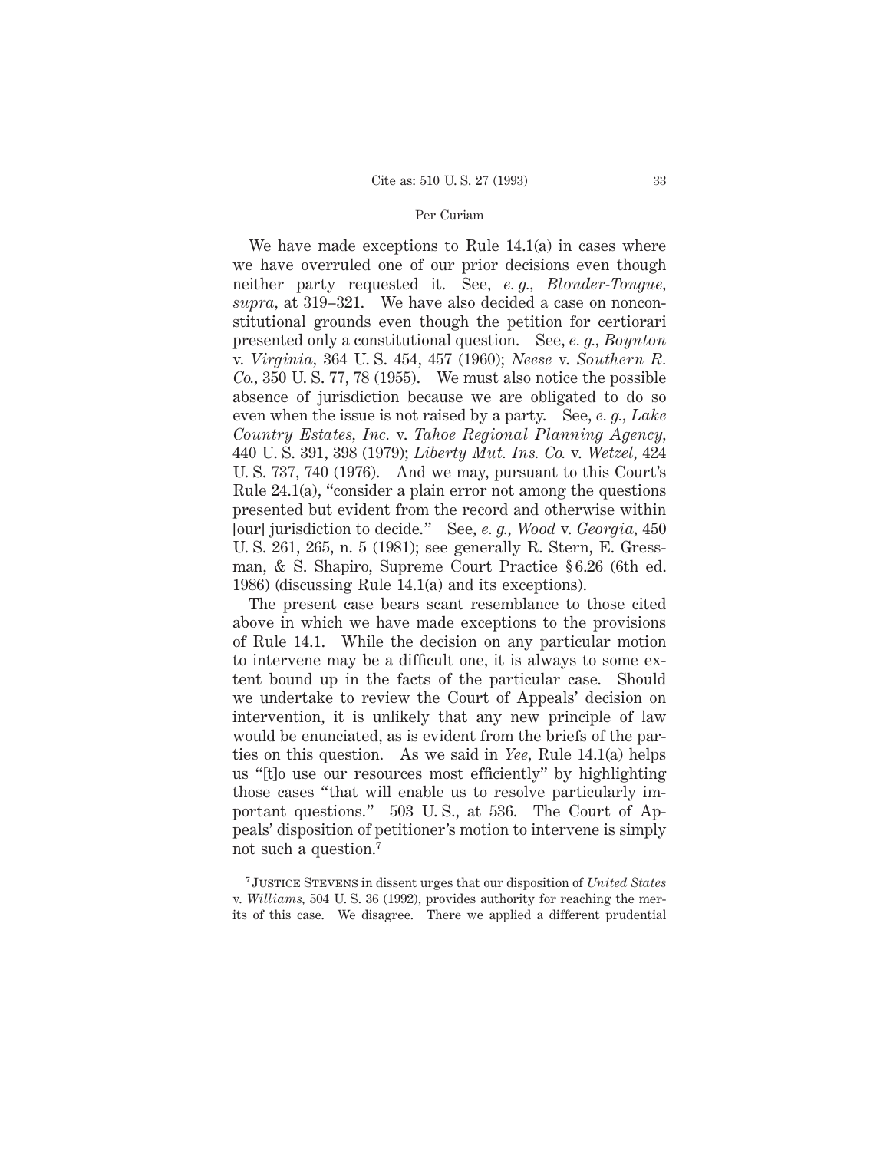### Per Curiam

We have made exceptions to Rule  $14.1(a)$  in cases where we have overruled one of our prior decisions even though neither party requested it. See, *e. g., Blonder-Tongue, supra,* at 319–321. We have also decided a case on nonconstitutional grounds even though the petition for certiorari presented only a constitutional question. See, *e. g., Boynton* v. *Virginia,* 364 U. S. 454, 457 (1960); *Neese* v. *Southern R. Co.,* 350 U. S. 77, 78 (1955). We must also notice the possible absence of jurisdiction because we are obligated to do so even when the issue is not raised by a party. See, *e. g., Lake Country Estates, Inc.* v. *Tahoe Regional Planning Agency,* 440 U. S. 391, 398 (1979); *Liberty Mut. Ins. Co.* v. *Wetzel,* 424 U. S. 737, 740 (1976). And we may, pursuant to this Court's Rule 24.1(a), "consider a plain error not among the questions presented but evident from the record and otherwise within [our] jurisdiction to decide." See, *e. g., Wood* v. *Georgia,* 450 U. S. 261, 265, n. 5 (1981); see generally R. Stern, E. Gressman, & S. Shapiro, Supreme Court Practice § 6.26 (6th ed. 1986) (discussing Rule 14.1(a) and its exceptions).

The present case bears scant resemblance to those cited above in which we have made exceptions to the provisions of Rule 14.1. While the decision on any particular motion to intervene may be a difficult one, it is always to some extent bound up in the facts of the particular case. Should we undertake to review the Court of Appeals' decision on intervention, it is unlikely that any new principle of law would be enunciated, as is evident from the briefs of the parties on this question. As we said in *Yee,* Rule 14.1(a) helps us "[t]o use our resources most efficiently" by highlighting those cases "that will enable us to resolve particularly important questions." 503 U. S., at 536. The Court of Appeals' disposition of petitioner's motion to intervene is simply not such a question.7

<sup>7</sup> Justice Stevens in dissent urges that our disposition of *United States* v. *Williams,* 504 U. S. 36 (1992), provides authority for reaching the merits of this case. We disagree. There we applied a different prudential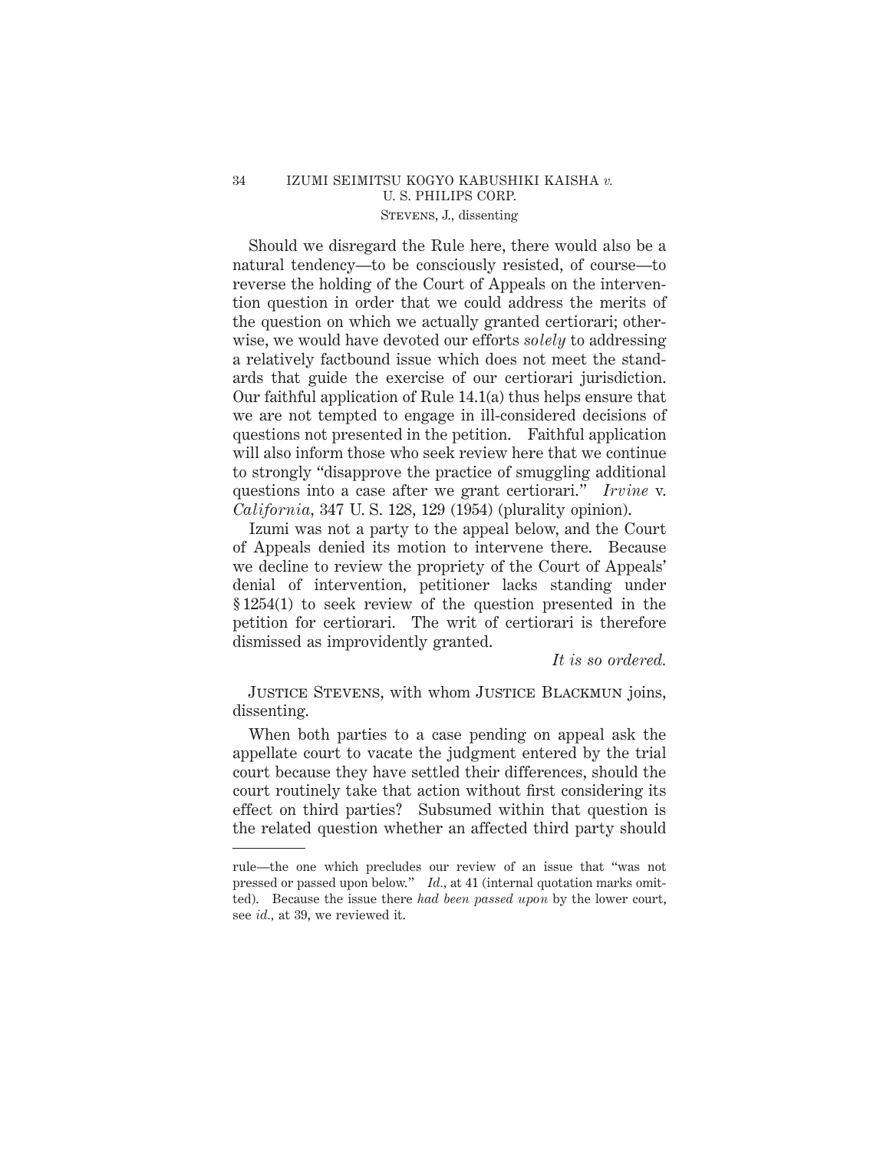# 34 IZUMI SEIMITSU KOGYO KABUSHIKI KAISHA *v.* U. S. PHILIPS CORP. Stevens, J., dissenting

Should we disregard the Rule here, there would also be a natural tendency—to be consciously resisted, of course—to reverse the holding of the Court of Appeals on the intervention question in order that we could address the merits of the question on which we actually granted certiorari; otherwise, we would have devoted our efforts *solely* to addressing a relatively factbound issue which does not meet the standards that guide the exercise of our certiorari jurisdiction. Our faithful application of Rule 14.1(a) thus helps ensure that we are not tempted to engage in ill-considered decisions of questions not presented in the petition. Faithful application will also inform those who seek review here that we continue to strongly "disapprove the practice of smuggling additional questions into a case after we grant certiorari." *Irvine* v. *California,* 347 U. S. 128, 129 (1954) (plurality opinion).

Izumi was not a party to the appeal below, and the Court of Appeals denied its motion to intervene there. Because we decline to review the propriety of the Court of Appeals' denial of intervention, petitioner lacks standing under § 1254(1) to seek review of the question presented in the petition for certiorari. The writ of certiorari is therefore dismissed as improvidently granted.

*It is so ordered.*

Justice Stevens, with whom Justice Blackmun joins, dissenting.

When both parties to a case pending on appeal ask the appellate court to vacate the judgment entered by the trial court because they have settled their differences, should the court routinely take that action without first considering its effect on third parties? Subsumed within that question is the related question whether an affected third party should

rule—the one which precludes our review of an issue that "was not pressed or passed upon below." *Id.,* at 41 (internal quotation marks omitted). Because the issue there *had been passed upon* by the lower court, see *id.,* at 39, we reviewed it.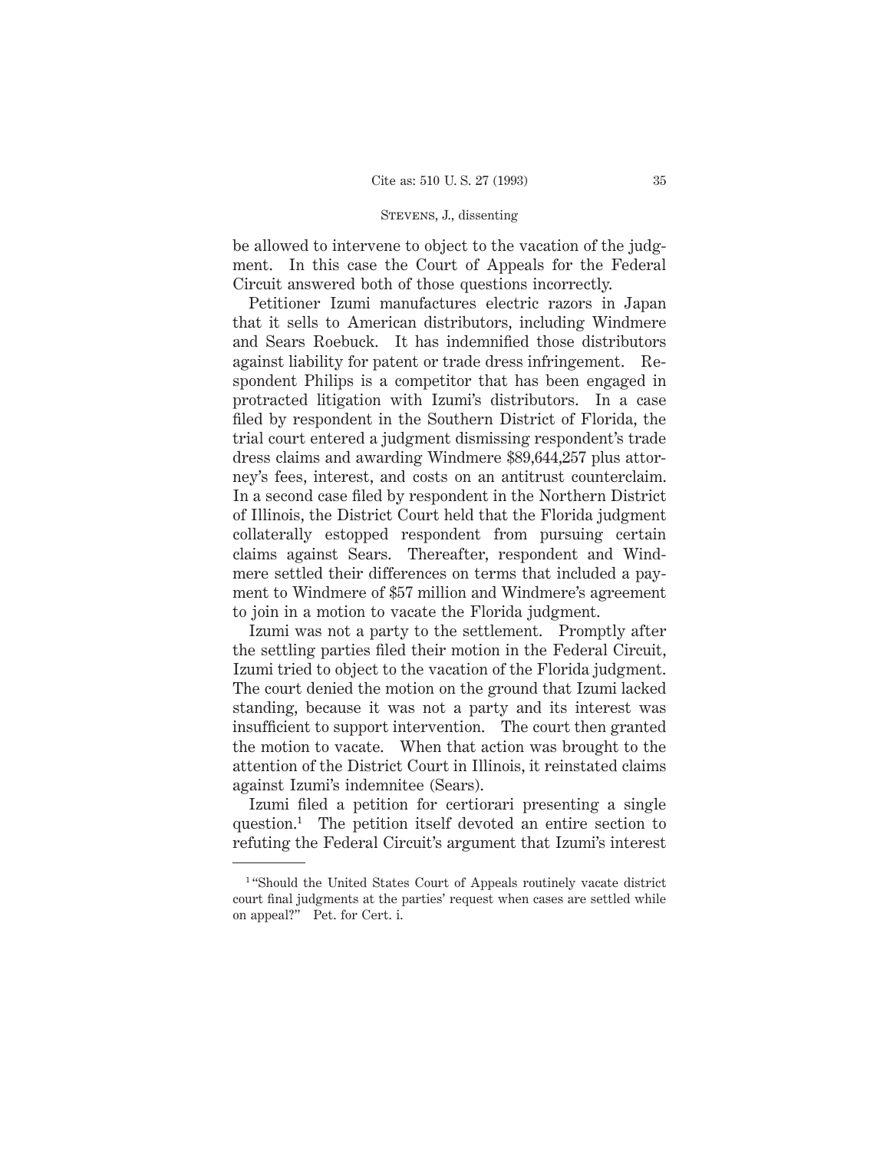be allowed to intervene to object to the vacation of the judgment. In this case the Court of Appeals for the Federal Circuit answered both of those questions incorrectly.

Petitioner Izumi manufactures electric razors in Japan that it sells to American distributors, including Windmere and Sears Roebuck. It has indemnified those distributors against liability for patent or trade dress infringement. Respondent Philips is a competitor that has been engaged in protracted litigation with Izumi's distributors. In a case filed by respondent in the Southern District of Florida, the trial court entered a judgment dismissing respondent's trade dress claims and awarding Windmere \$89,644,257 plus attorney's fees, interest, and costs on an antitrust counterclaim. In a second case filed by respondent in the Northern District of Illinois, the District Court held that the Florida judgment collaterally estopped respondent from pursuing certain claims against Sears. Thereafter, respondent and Windmere settled their differences on terms that included a payment to Windmere of \$57 million and Windmere's agreement to join in a motion to vacate the Florida judgment.

Izumi was not a party to the settlement. Promptly after the settling parties filed their motion in the Federal Circuit, Izumi tried to object to the vacation of the Florida judgment. The court denied the motion on the ground that Izumi lacked standing, because it was not a party and its interest was insufficient to support intervention. The court then granted the motion to vacate. When that action was brought to the attention of the District Court in Illinois, it reinstated claims against Izumi's indemnitee (Sears).

Izumi filed a petition for certiorari presenting a single question.1 The petition itself devoted an entire section to refuting the Federal Circuit's argument that Izumi's interest

<sup>&</sup>lt;sup>1</sup> "Should the United States Court of Appeals routinely vacate district court final judgments at the parties' request when cases are settled while on appeal?" Pet. for Cert. i.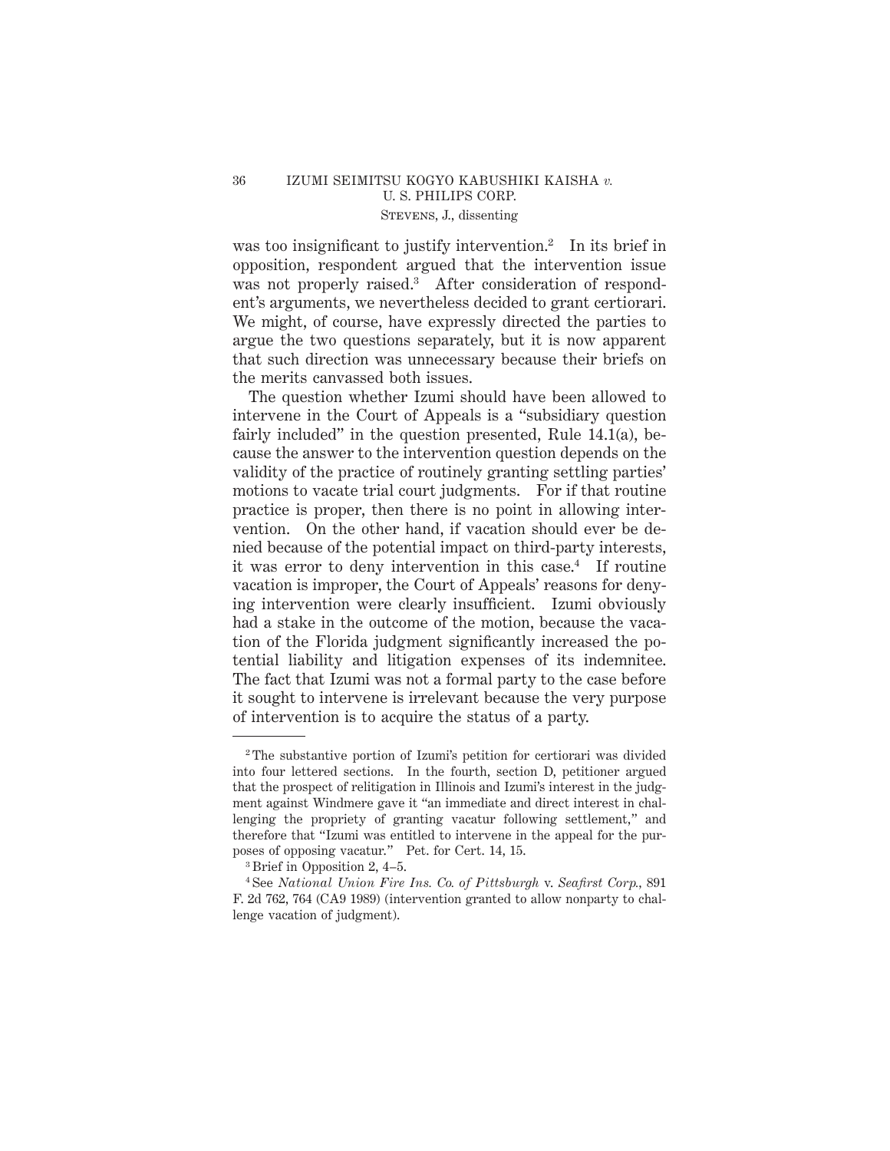# 36 IZUMI SEIMITSU KOGYO KABUSHIKI KAISHA *v.* U. S. PHILIPS CORP. Stevens, J., dissenting

was too insignificant to justify intervention.<sup>2</sup> In its brief in opposition, respondent argued that the intervention issue was not properly raised.<sup>3</sup> After consideration of respondent's arguments, we nevertheless decided to grant certiorari. We might, of course, have expressly directed the parties to argue the two questions separately, but it is now apparent that such direction was unnecessary because their briefs on the merits canvassed both issues.

The question whether Izumi should have been allowed to intervene in the Court of Appeals is a "subsidiary question fairly included" in the question presented, Rule 14.1(a), because the answer to the intervention question depends on the validity of the practice of routinely granting settling parties' motions to vacate trial court judgments. For if that routine practice is proper, then there is no point in allowing intervention. On the other hand, if vacation should ever be denied because of the potential impact on third-party interests, it was error to deny intervention in this case.<sup>4</sup> If routine vacation is improper, the Court of Appeals' reasons for denying intervention were clearly insufficient. Izumi obviously had a stake in the outcome of the motion, because the vacation of the Florida judgment significantly increased the potential liability and litigation expenses of its indemnitee. The fact that Izumi was not a formal party to the case before it sought to intervene is irrelevant because the very purpose of intervention is to acquire the status of a party.

<sup>2</sup> The substantive portion of Izumi's petition for certiorari was divided into four lettered sections. In the fourth, section D, petitioner argued that the prospect of relitigation in Illinois and Izumi's interest in the judgment against Windmere gave it "an immediate and direct interest in challenging the propriety of granting vacatur following settlement," and therefore that "Izumi was entitled to intervene in the appeal for the purposes of opposing vacatur." Pet. for Cert. 14, 15.

<sup>3</sup> Brief in Opposition 2, 4–5.

<sup>4</sup> See *National Union Fire Ins. Co. of Pittsburgh* v. *Seafirst Corp.,* 891 F. 2d 762, 764 (CA9 1989) (intervention granted to allow nonparty to challenge vacation of judgment).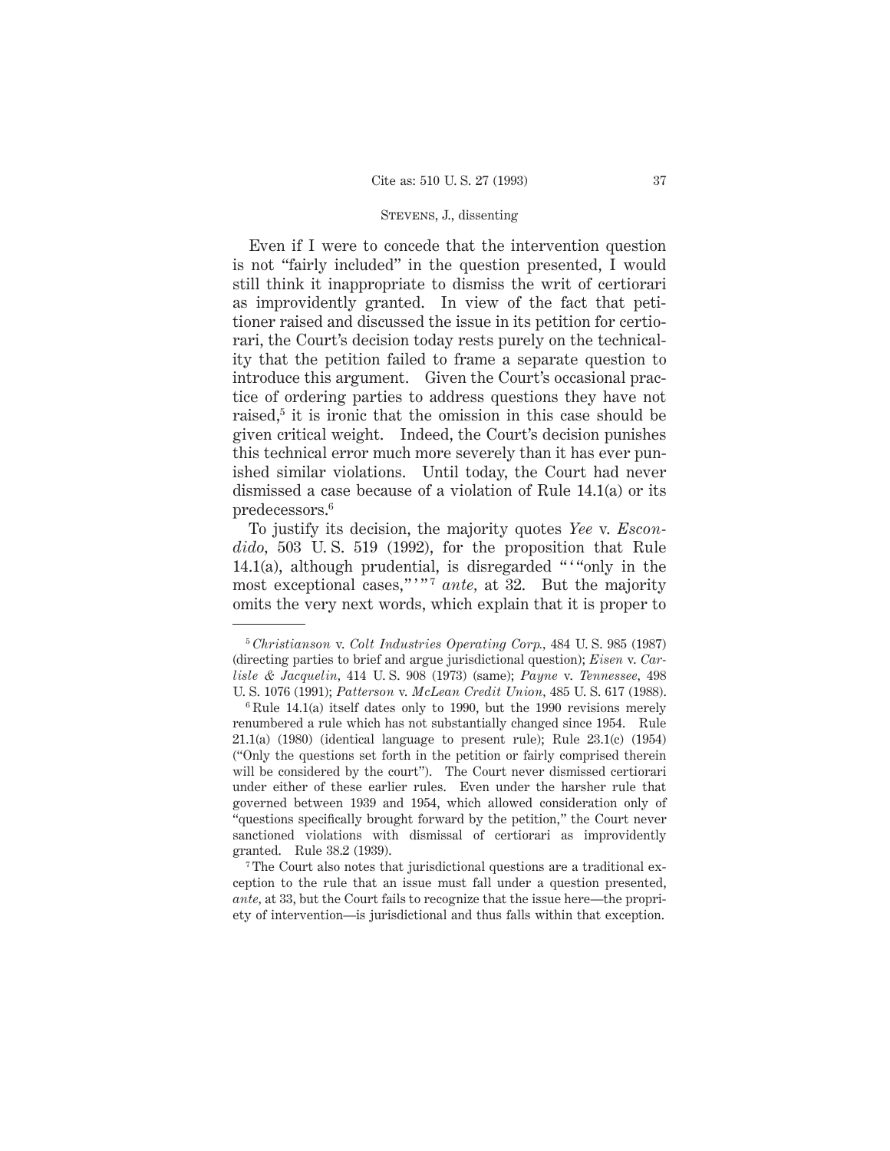Even if I were to concede that the intervention question is not "fairly included" in the question presented, I would still think it inappropriate to dismiss the writ of certiorari as improvidently granted. In view of the fact that petitioner raised and discussed the issue in its petition for certiorari, the Court's decision today rests purely on the technicality that the petition failed to frame a separate question to introduce this argument. Given the Court's occasional practice of ordering parties to address questions they have not raised,<sup>5</sup> it is ironic that the omission in this case should be given critical weight. Indeed, the Court's decision punishes this technical error much more severely than it has ever punished similar violations. Until today, the Court had never dismissed a case because of a violation of Rule 14.1(a) or its predecessors.6

To justify its decision, the majority quotes *Yee* v. *Escondido,* 503 U. S. 519 (1992), for the proposition that Rule 14.1(a), although prudential, is disregarded ""only in the most exceptional cases,""<sup>7</sup> ante, at 32. But the majority omits the very next words, which explain that it is proper to

<sup>7</sup> The Court also notes that jurisdictional questions are a traditional exception to the rule that an issue must fall under a question presented, *ante,* at 33, but the Court fails to recognize that the issue here—the propriety of intervention—is jurisdictional and thus falls within that exception.

<sup>5</sup> *Christianson* v. *Colt Industries Operating Corp.,* 484 U. S. 985 (1987) (directing parties to brief and argue jurisdictional question); *Eisen* v. *Carlisle & Jacquelin,* 414 U. S. 908 (1973) (same); *Payne* v. *Tennessee,* 498 U. S. 1076 (1991); *Patterson* v. *McLean Credit Union,* 485 U. S. 617 (1988).

 $6$  Rule 14.1(a) itself dates only to 1990, but the 1990 revisions merely renumbered a rule which has not substantially changed since 1954. Rule  $21.1(a)$  (1980) (identical language to present rule); Rule  $23.1(c)$  (1954) ("Only the questions set forth in the petition or fairly comprised therein will be considered by the court"). The Court never dismissed certiorari under either of these earlier rules. Even under the harsher rule that governed between 1939 and 1954, which allowed consideration only of "questions specifically brought forward by the petition," the Court never sanctioned violations with dismissal of certiorari as improvidently granted. Rule 38.2 (1939).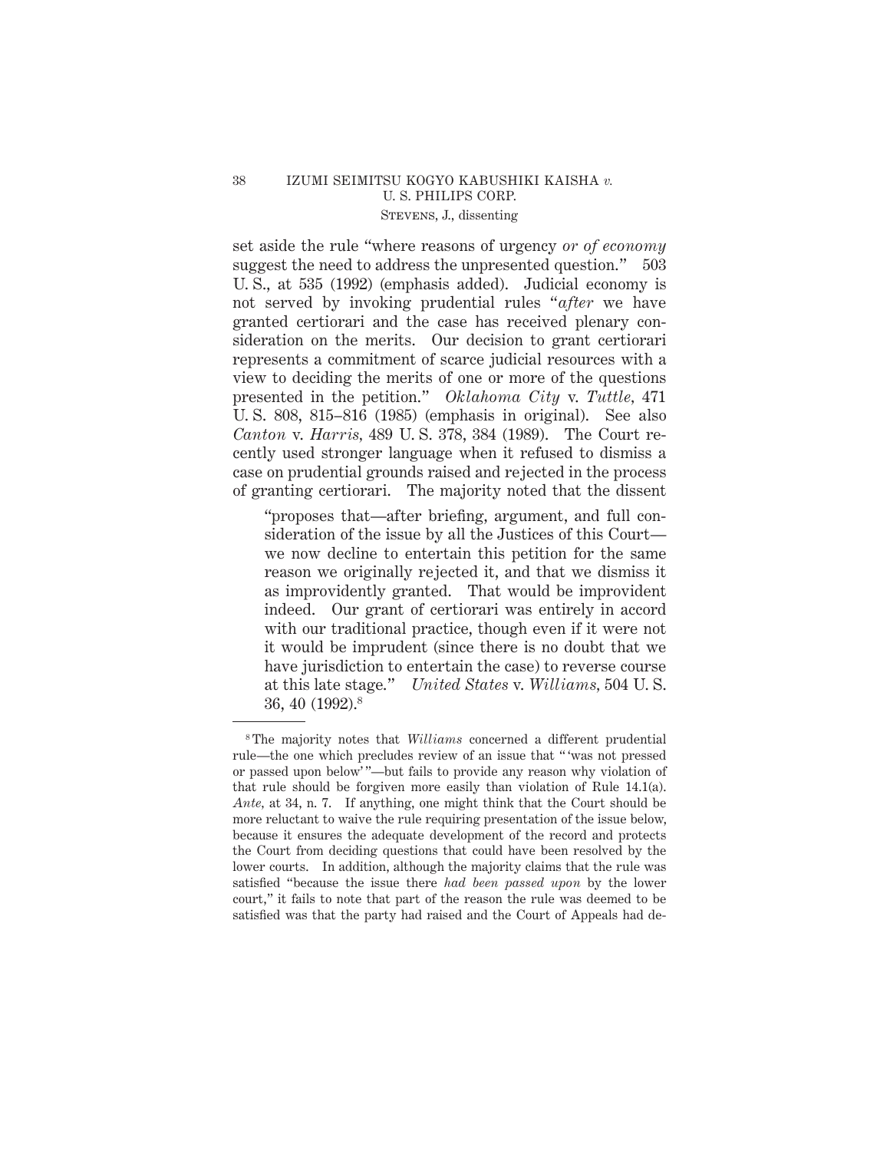# 38 IZUMI SEIMITSU KOGYO KABUSHIKI KAISHA *v.* U. S. PHILIPS CORP. Stevens, J., dissenting

set aside the rule "where reasons of urgency *or of economy* suggest the need to address the unpresented question." 503 U. S., at 535 (1992) (emphasis added). Judicial economy is not served by invoking prudential rules "*after* we have granted certiorari and the case has received plenary consideration on the merits. Our decision to grant certiorari represents a commitment of scarce judicial resources with a view to deciding the merits of one or more of the questions presented in the petition." *Oklahoma City* v. *Tuttle,* 471 U. S. 808, 815–816 (1985) (emphasis in original). See also *Canton* v. *Harris,* 489 U. S. 378, 384 (1989). The Court recently used stronger language when it refused to dismiss a case on prudential grounds raised and rejected in the process of granting certiorari. The majority noted that the dissent

"proposes that—after briefing, argument, and full consideration of the issue by all the Justices of this Court we now decline to entertain this petition for the same reason we originally rejected it, and that we dismiss it as improvidently granted. That would be improvident indeed. Our grant of certiorari was entirely in accord with our traditional practice, though even if it were not it would be imprudent (since there is no doubt that we have jurisdiction to entertain the case) to reverse course at this late stage." *United States* v. *Williams,* 504 U. S. 36, 40 (1992).8

<sup>8</sup> The majority notes that *Williams* concerned a different prudential rule—the one which precludes review of an issue that " 'was not pressed or passed upon below' "—but fails to provide any reason why violation of that rule should be forgiven more easily than violation of Rule 14.1(a). *Ante,* at 34, n. 7. If anything, one might think that the Court should be more reluctant to waive the rule requiring presentation of the issue below, because it ensures the adequate development of the record and protects the Court from deciding questions that could have been resolved by the lower courts. In addition, although the majority claims that the rule was satisfied "because the issue there *had been passed upon* by the lower court," it fails to note that part of the reason the rule was deemed to be satisfied was that the party had raised and the Court of Appeals had de-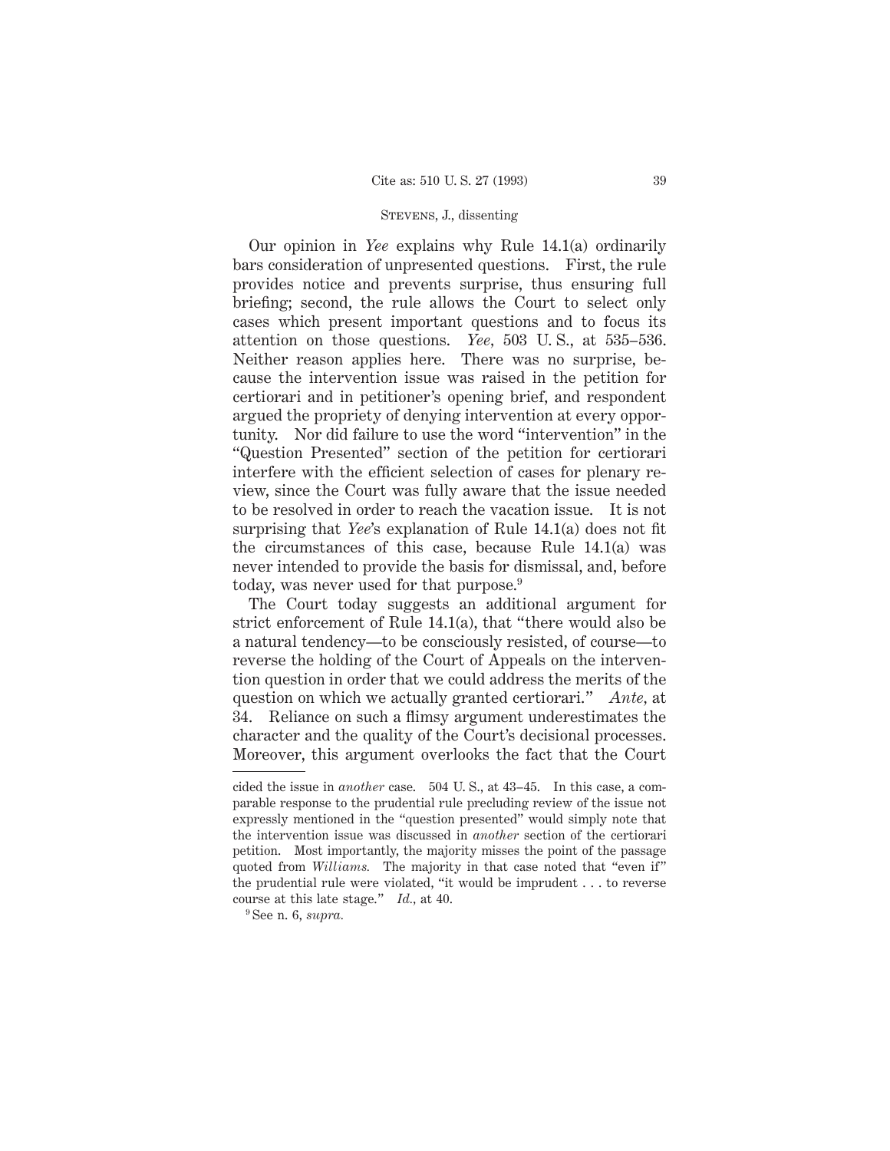Our opinion in *Yee* explains why Rule 14.1(a) ordinarily bars consideration of unpresented questions. First, the rule provides notice and prevents surprise, thus ensuring full briefing; second, the rule allows the Court to select only cases which present important questions and to focus its attention on those questions. *Yee,* 503 U. S., at 535–536. Neither reason applies here. There was no surprise, because the intervention issue was raised in the petition for certiorari and in petitioner's opening brief, and respondent argued the propriety of denying intervention at every opportunity. Nor did failure to use the word "intervention" in the "Question Presented" section of the petition for certiorari interfere with the efficient selection of cases for plenary review, since the Court was fully aware that the issue needed to be resolved in order to reach the vacation issue. It is not surprising that *Yee*'s explanation of Rule 14.1(a) does not fit the circumstances of this case, because Rule 14.1(a) was never intended to provide the basis for dismissal, and, before today, was never used for that purpose.<sup>9</sup>

The Court today suggests an additional argument for strict enforcement of Rule 14.1(a), that "there would also be a natural tendency—to be consciously resisted, of course—to reverse the holding of the Court of Appeals on the intervention question in order that we could address the merits of the question on which we actually granted certiorari." *Ante,* at 34. Reliance on such a flimsy argument underestimates the character and the quality of the Court's decisional processes. Moreover, this argument overlooks the fact that the Court

cided the issue in *another* case. 504 U. S., at 43–45. In this case, a comparable response to the prudential rule precluding review of the issue not expressly mentioned in the "question presented" would simply note that the intervention issue was discussed in *another* section of the certiorari petition. Most importantly, the majority misses the point of the passage quoted from *Williams.* The majority in that case noted that "even if" the prudential rule were violated, "it would be imprudent . . . to reverse course at this late stage." *Id.,* at 40.

<sup>9</sup> See n. 6, *supra.*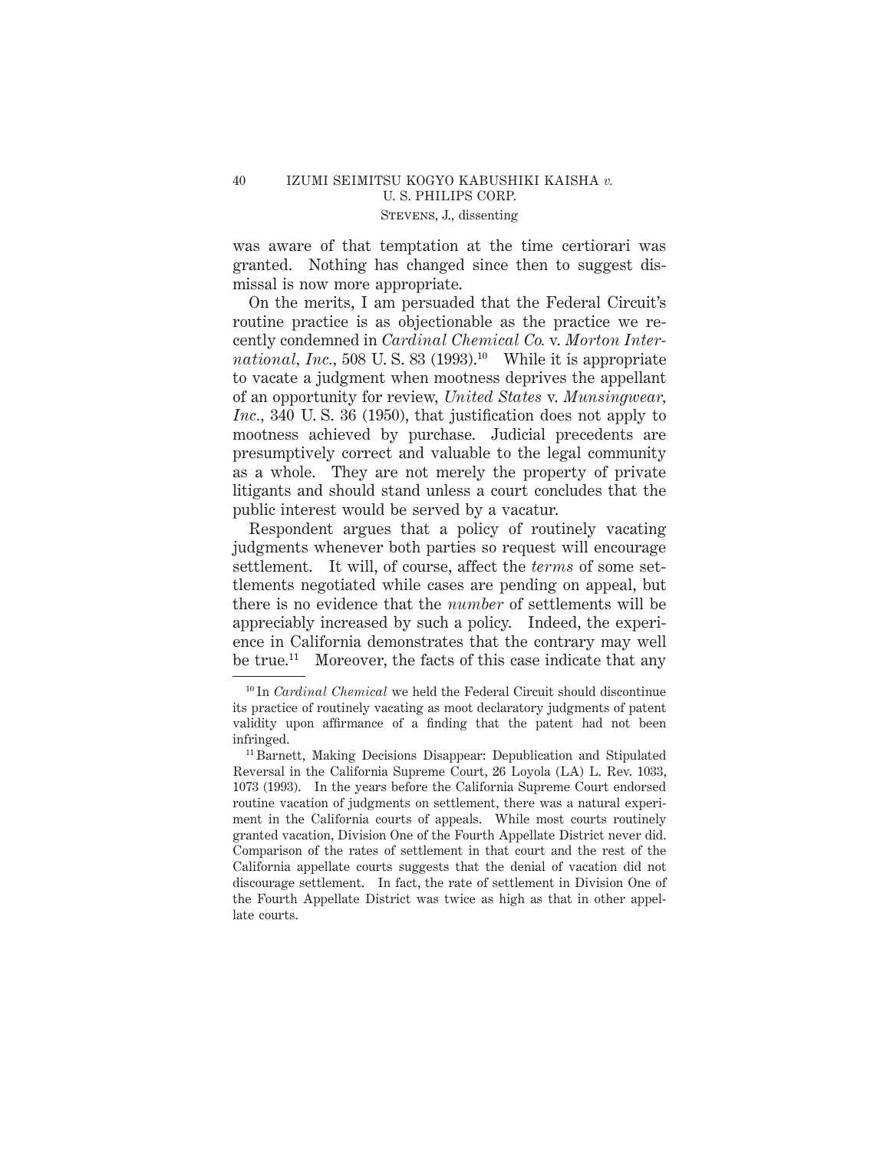was aware of that temptation at the time certiorari was granted. Nothing has changed since then to suggest dismissal is now more appropriate.

On the merits, I am persuaded that the Federal Circuit's routine practice is as objectionable as the practice we recently condemned in *Cardinal Chemical Co.* v. *Morton Inter*national, Inc., 508 U.S. 83 (1993).<sup>10</sup> While it is appropriate to vacate a judgment when mootness deprives the appellant of an opportunity for review, *United States* v. *Munsingwear, Inc.,* 340 U. S. 36 (1950), that justification does not apply to mootness achieved by purchase. Judicial precedents are presumptively correct and valuable to the legal community as a whole. They are not merely the property of private litigants and should stand unless a court concludes that the public interest would be served by a vacatur.

Respondent argues that a policy of routinely vacating judgments whenever both parties so request will encourage settlement. It will, of course, affect the *terms* of some settlements negotiated while cases are pending on appeal, but there is no evidence that the *number* of settlements will be appreciably increased by such a policy. Indeed, the experience in California demonstrates that the contrary may well be true.<sup>11</sup> Moreover, the facts of this case indicate that any

<sup>10</sup> In *Cardinal Chemical* we held the Federal Circuit should discontinue its practice of routinely vacating as moot declaratory judgments of patent validity upon affirmance of a finding that the patent had not been infringed.

<sup>11</sup> Barnett, Making Decisions Disappear: Depublication and Stipulated Reversal in the California Supreme Court, 26 Loyola (LA) L. Rev. 1033, 1073 (1993). In the years before the California Supreme Court endorsed routine vacation of judgments on settlement, there was a natural experiment in the California courts of appeals. While most courts routinely granted vacation, Division One of the Fourth Appellate District never did. Comparison of the rates of settlement in that court and the rest of the California appellate courts suggests that the denial of vacation did not discourage settlement. In fact, the rate of settlement in Division One of the Fourth Appellate District was twice as high as that in other appellate courts.